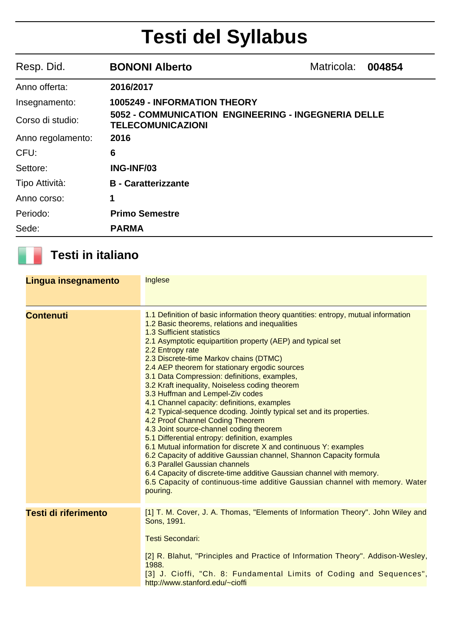# **Testi del Syllabus**

| Resp. Did.        | <b>BONONI Alberto</b>                                                                  | Matricola: | 004854 |
|-------------------|----------------------------------------------------------------------------------------|------------|--------|
| Anno offerta:     | 2016/2017                                                                              |            |        |
| Insegnamento:     | <b>1005249 - INFORMATION THEORY</b>                                                    |            |        |
| Corso di studio:  | <b>5052 - COMMUNICATION ENGINEERING - INGEGNERIA DELLE</b><br><b>TELECOMUNICAZIONI</b> |            |        |
| Anno regolamento: | 2016                                                                                   |            |        |
| CFU:              | 6                                                                                      |            |        |
| Settore:          | <b>ING-INF/03</b>                                                                      |            |        |
| Tipo Attività:    | <b>B</b> - Caratterizzante                                                             |            |        |
| Anno corso:       | 1                                                                                      |            |        |
| Periodo:          | <b>Primo Semestre</b>                                                                  |            |        |
| Sede:             | <b>PARMA</b>                                                                           |            |        |

### **Testi in italiano**

| Lingua insegnamento         | Inglese                                                                                                                                                                                                                                                                                                                                                                                                                                                                                                                                                                                                                                                                                                                                                                                                                                                                                                                                                                                                                                                                                          |
|-----------------------------|--------------------------------------------------------------------------------------------------------------------------------------------------------------------------------------------------------------------------------------------------------------------------------------------------------------------------------------------------------------------------------------------------------------------------------------------------------------------------------------------------------------------------------------------------------------------------------------------------------------------------------------------------------------------------------------------------------------------------------------------------------------------------------------------------------------------------------------------------------------------------------------------------------------------------------------------------------------------------------------------------------------------------------------------------------------------------------------------------|
| <b>Contenuti</b>            | 1.1 Definition of basic information theory quantities: entropy, mutual information<br>1.2 Basic theorems, relations and inequalities<br>1.3 Sufficient statistics<br>2.1 Asymptotic equipartition property (AEP) and typical set<br>2.2 Entropy rate<br>2.3 Discrete-time Markov chains (DTMC)<br>2.4 AEP theorem for stationary ergodic sources<br>3.1 Data Compression: definitions, examples,<br>3.2 Kraft inequality, Noiseless coding theorem<br>3.3 Huffman and Lempel-Ziv codes<br>4.1 Channel capacity: definitions, examples<br>4.2 Typical-sequence dcoding. Jointly typical set and its properties.<br>4.2 Proof Channel Coding Theorem<br>4.3 Joint source-channel coding theorem<br>5.1 Differential entropy: definition, examples<br>6.1 Mutual information for discrete X and continuous Y: examples<br>6.2 Capacity of additive Gaussian channel, Shannon Capacity formula<br>6.3 Parallel Gaussian channels<br>6.4 Capacity of discrete-time additive Gaussian channel with memory.<br>6.5 Capacity of continuous-time additive Gaussian channel with memory. Water<br>pouring. |
| <b>Testi di riferimento</b> | [1] T. M. Cover, J. A. Thomas, "Elements of Information Theory". John Wiley and<br>Sons, 1991.<br><b>Testi Secondari:</b><br>[2] R. Blahut, "Principles and Practice of Information Theory". Addison-Wesley,<br>1988.<br>[3] J. Cioffi, "Ch. 8: Fundamental Limits of Coding and Sequences",<br>http://www.stanford.edu/~cioffi                                                                                                                                                                                                                                                                                                                                                                                                                                                                                                                                                                                                                                                                                                                                                                  |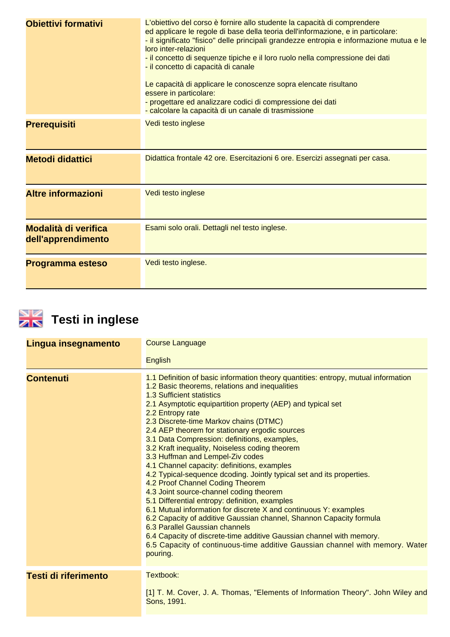| <b>Obiettivi formativi</b>                        | L'obiettivo del corso è fornire allo studente la capacità di comprendere<br>ed applicare le regole di base della teoria dell'informazione, e in particolare:<br>- il significato "fisico" delle principali grandezze entropia e informazione mutua e le<br>loro inter-relazioni<br>- il concetto di sequenze tipiche e il loro ruolo nella compressione dei dati<br>- il concetto di capacità di canale<br>Le capacità di applicare le conoscenze sopra elencate risultano<br>essere in particolare:<br>- progettare ed analizzare codici di compressione dei dati<br>- calcolare la capacità di un canale di trasmissione |
|---------------------------------------------------|----------------------------------------------------------------------------------------------------------------------------------------------------------------------------------------------------------------------------------------------------------------------------------------------------------------------------------------------------------------------------------------------------------------------------------------------------------------------------------------------------------------------------------------------------------------------------------------------------------------------------|
| <b>Prerequisiti</b>                               | Vedi testo inglese                                                                                                                                                                                                                                                                                                                                                                                                                                                                                                                                                                                                         |
| <b>Metodi didattici</b>                           | Didattica frontale 42 ore. Esercitazioni 6 ore. Esercizi assegnati per casa.                                                                                                                                                                                                                                                                                                                                                                                                                                                                                                                                               |
| <b>Altre informazioni</b>                         | Vedi testo inglese                                                                                                                                                                                                                                                                                                                                                                                                                                                                                                                                                                                                         |
| <b>Modalità di verifica</b><br>dell'apprendimento | Esami solo orali. Dettagli nel testo inglese.                                                                                                                                                                                                                                                                                                                                                                                                                                                                                                                                                                              |
| Programma esteso                                  | Vedi testo inglese.                                                                                                                                                                                                                                                                                                                                                                                                                                                                                                                                                                                                        |



## **Testi in inglese**

| Lingua insegnamento         | <b>Course Language</b>                                                                                                                                                                                                                                                                                                                                                                                                                                                                                                                                                                                                                                                                                                                                                                                                                                                                                                                                                                                                                                                                           |  |
|-----------------------------|--------------------------------------------------------------------------------------------------------------------------------------------------------------------------------------------------------------------------------------------------------------------------------------------------------------------------------------------------------------------------------------------------------------------------------------------------------------------------------------------------------------------------------------------------------------------------------------------------------------------------------------------------------------------------------------------------------------------------------------------------------------------------------------------------------------------------------------------------------------------------------------------------------------------------------------------------------------------------------------------------------------------------------------------------------------------------------------------------|--|
|                             | <b>English</b>                                                                                                                                                                                                                                                                                                                                                                                                                                                                                                                                                                                                                                                                                                                                                                                                                                                                                                                                                                                                                                                                                   |  |
| <b>Contenuti</b>            | 1.1 Definition of basic information theory quantities: entropy, mutual information<br>1.2 Basic theorems, relations and inequalities<br>1.3 Sufficient statistics<br>2.1 Asymptotic equipartition property (AEP) and typical set<br>2.2 Entropy rate<br>2.3 Discrete-time Markov chains (DTMC)<br>2.4 AEP theorem for stationary ergodic sources<br>3.1 Data Compression: definitions, examples,<br>3.2 Kraft inequality, Noiseless coding theorem<br>3.3 Huffman and Lempel-Ziv codes<br>4.1 Channel capacity: definitions, examples<br>4.2 Typical-sequence dcoding. Jointly typical set and its properties.<br>4.2 Proof Channel Coding Theorem<br>4.3 Joint source-channel coding theorem<br>5.1 Differential entropy: definition, examples<br>6.1 Mutual information for discrete X and continuous Y: examples<br>6.2 Capacity of additive Gaussian channel, Shannon Capacity formula<br>6.3 Parallel Gaussian channels<br>6.4 Capacity of discrete-time additive Gaussian channel with memory.<br>6.5 Capacity of continuous-time additive Gaussian channel with memory. Water<br>pouring. |  |
| <b>Testi di riferimento</b> | Textbook:<br>[1] T. M. Cover, J. A. Thomas, "Elements of Information Theory". John Wiley and<br>Sons, 1991.                                                                                                                                                                                                                                                                                                                                                                                                                                                                                                                                                                                                                                                                                                                                                                                                                                                                                                                                                                                      |  |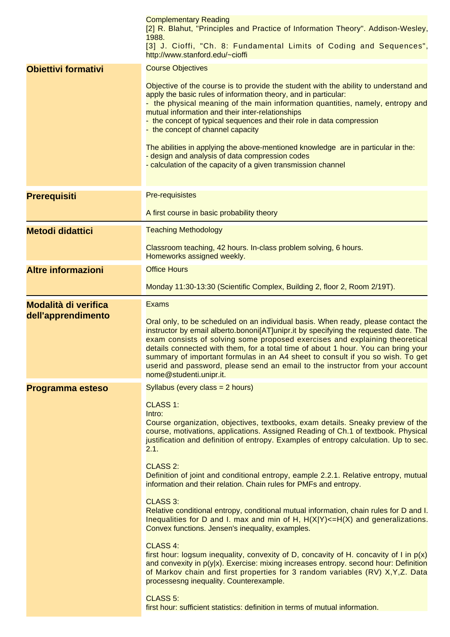| <b>Complementary Reading</b><br>[2] R. Blahut, "Principles and Practice of Information Theory". Addison-Wesley,<br>1988.<br>[3] J. Cioffi, "Ch. 8: Fundamental Limits of Coding and Sequences",<br>http://www.stanford.edu/~cioffi                                                                                                                                                                                                                                                                                                                                                                                                                                                                                                                                                                                                                                                                                                                                                                                                                                                                                                                                                                                |
|-------------------------------------------------------------------------------------------------------------------------------------------------------------------------------------------------------------------------------------------------------------------------------------------------------------------------------------------------------------------------------------------------------------------------------------------------------------------------------------------------------------------------------------------------------------------------------------------------------------------------------------------------------------------------------------------------------------------------------------------------------------------------------------------------------------------------------------------------------------------------------------------------------------------------------------------------------------------------------------------------------------------------------------------------------------------------------------------------------------------------------------------------------------------------------------------------------------------|
| <b>Course Objectives</b><br>Objective of the course is to provide the student with the ability to understand and<br>apply the basic rules of information theory, and in particular:<br>- the physical meaning of the main information quantities, namely, entropy and<br>mutual information and their inter-relationships<br>- the concept of typical sequences and their role in data compression<br>- the concept of channel capacity<br>The abilities in applying the above-mentioned knowledge are in particular in the:<br>- design and analysis of data compression codes<br>- calculation of the capacity of a given transmission channel                                                                                                                                                                                                                                                                                                                                                                                                                                                                                                                                                                  |
| <b>Pre-requisistes</b><br>A first course in basic probability theory                                                                                                                                                                                                                                                                                                                                                                                                                                                                                                                                                                                                                                                                                                                                                                                                                                                                                                                                                                                                                                                                                                                                              |
| <b>Teaching Methodology</b><br>Classroom teaching, 42 hours. In-class problem solving, 6 hours.<br>Homeworks assigned weekly.                                                                                                                                                                                                                                                                                                                                                                                                                                                                                                                                                                                                                                                                                                                                                                                                                                                                                                                                                                                                                                                                                     |
| <b>Office Hours</b><br>Monday 11:30-13:30 (Scientific Complex, Building 2, floor 2, Room 2/19T).                                                                                                                                                                                                                                                                                                                                                                                                                                                                                                                                                                                                                                                                                                                                                                                                                                                                                                                                                                                                                                                                                                                  |
| <b>Exams</b><br>Oral only, to be scheduled on an individual basis. When ready, please contact the<br>instructor by email alberto.bononi[AT]unipr.it by specifying the requested date. The<br>exam consists of solving some proposed exercises and explaining theoretical<br>details connected with them, for a total time of about 1 hour. You can bring your<br>summary of important formulas in an A4 sheet to consult if you so wish. To get<br>userid and password, please send an email to the instructor from your account<br>nome@studenti.unipr.it.                                                                                                                                                                                                                                                                                                                                                                                                                                                                                                                                                                                                                                                       |
| Syllabus (every class $= 2$ hours)<br><b>CLASS 1:</b><br>Intro:<br>Course organization, objectives, textbooks, exam details. Sneaky preview of the<br>course, motivations, applications. Assigned Reading of Ch.1 of textbook. Physical<br>justification and definition of entropy. Examples of entropy calculation. Up to sec.<br>2.1.<br><b>CLASS 2:</b><br>Definition of joint and conditional entropy, eample 2.2.1. Relative entropy, mutual<br>information and their relation. Chain rules for PMFs and entropy.<br><b>CLASS 3:</b><br>Relative conditional entropy, conditional mutual information, chain rules for D and I.<br>Inequalities for D and I. max and min of H, $H(X Y) \leq H(X)$ and generalizations.<br>Convex functions. Jensen's inequality, examples.<br>CLASS 4:<br>first hour: logsum inequality, convexity of D, concavity of H. concavity of I in $p(x)$<br>and convexity in $p(y x)$ . Exercise: mixing increases entropy. second hour: Definition<br>of Markov chain and first properties for 3 random variables (RV) X, Y, Z. Data<br>processesng inequality. Counterexample.<br><b>CLASS 5:</b><br>first hour: sufficient statistics: definition in terms of mutual information. |
|                                                                                                                                                                                                                                                                                                                                                                                                                                                                                                                                                                                                                                                                                                                                                                                                                                                                                                                                                                                                                                                                                                                                                                                                                   |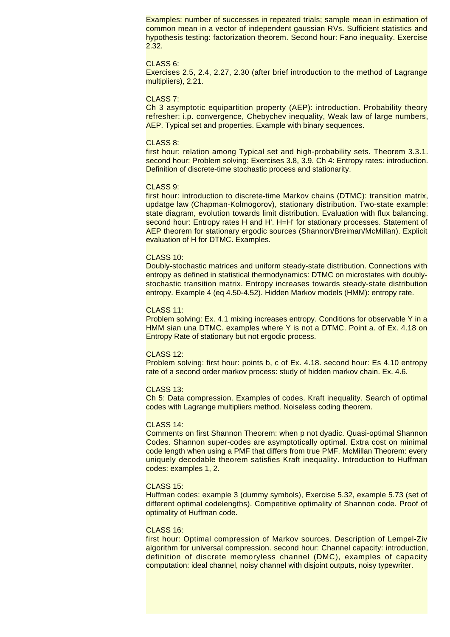Examples: number of successes in repeated trials; sample mean in estimation of common mean in a vector of independent gaussian RVs. Sufficient statistics and hypothesis testing: factorization theorem. Second hour: Fano inequality. Exercise 2.32.

#### CLASS 6:

Exercises 2.5, 2.4, 2.27, 2.30 (after brief introduction to the method of Lagrange multipliers), 2.21.

#### CLASS 7:

Ch 3 asymptotic equipartition property (AEP): introduction. Probability theory refresher: i.p. convergence, Chebychev inequality, Weak law of large numbers, AEP. Typical set and properties. Example with binary sequences.

#### CLASS 8:

first hour: relation among Typical set and high-probability sets. Theorem 3.3.1. second hour: Problem solving: Exercises 3.8, 3.9. Ch 4: Entropy rates: introduction. Definition of discrete-time stochastic process and stationarity.

#### CLASS 9:

first hour: introduction to discrete-time Markov chains (DTMC): transition matrix, updatge law (Chapman-Kolmogorov), stationary distribution. Two-state example: state diagram, evolution towards limit distribution. Evaluation with flux balancing. second hour: Entropy rates H and H'. H=H' for stationary processes. Statement of AEP theorem for stationary ergodic sources (Shannon/Breiman/McMillan). Explicit evaluation of H for DTMC. Examples.

#### CLASS 10:

Doubly-stochastic matrices and uniform steady-state distribution. Connections with entropy as defined in statistical thermodynamics: DTMC on microstates with doublystochastic transition matrix. Entropy increases towards steady-state distribution entropy. Example 4 (eq 4.50-4.52). Hidden Markov models (HMM): entropy rate.

#### CLASS 11:

Problem solving: Ex. 4.1 mixing increases entropy. Conditions for observable Y in a HMM sian una DTMC. examples where Y is not a DTMC. Point a. of Ex. 4.18 on Entropy Rate of stationary but not ergodic process.

#### CLASS 12:

Problem solving: first hour: points b, c of Ex. 4.18. second hour: Es 4.10 entropy rate of a second order markov process: study of hidden markov chain. Ex. 4.6.

#### CLASS 13:

Ch 5: Data compression. Examples of codes. Kraft inequality. Search of optimal codes with Lagrange multipliers method. Noiseless coding theorem.

#### CLASS 14:

Comments on first Shannon Theorem: when p not dyadic. Quasi-optimal Shannon Codes. Shannon super-codes are asymptotically optimal. Extra cost on minimal code length when using a PMF that differs from true PMF. McMillan Theorem: every uniquely decodable theorem satisfies Kraft inequality. Introduction to Huffman codes: examples 1, 2.

#### CLASS 15:

Huffman codes: example 3 (dummy symbols), Exercise 5.32, example 5.73 (set of different optimal codelengths). Competitive optimality of Shannon code. Proof of optimality of Huffman code.

#### CLASS 16:

first hour: Optimal compression of Markov sources. Description of Lempel-Ziv algorithm for universal compression. second hour: Channel capacity: introduction, definition of discrete memoryless channel (DMC), examples of capacity computation: ideal channel, noisy channel with disjoint outputs, noisy typewriter.